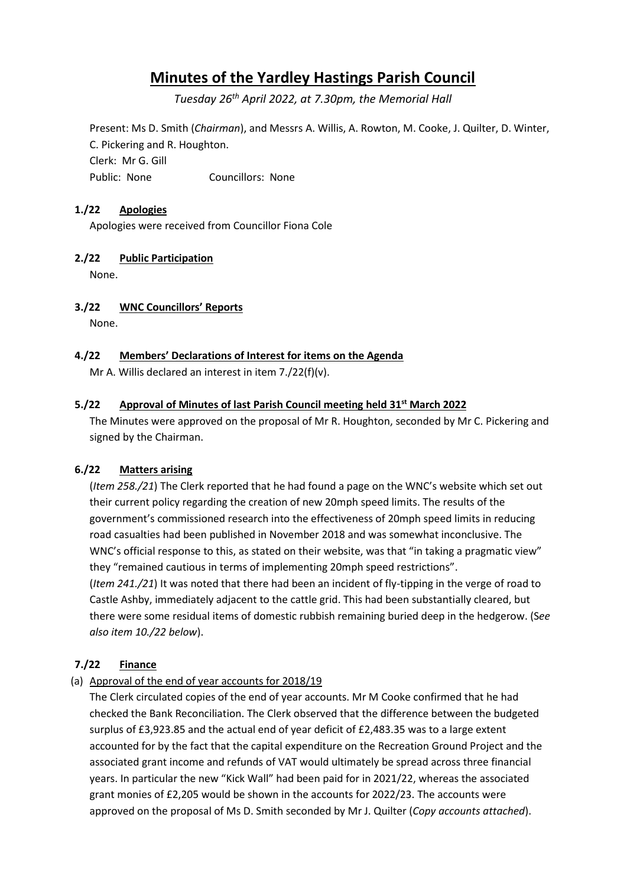# **Minutes of the Yardley Hastings Parish Council**

*Tuesday 26th April 2022, at 7.30pm, the Memorial Hall*

Present: Ms D. Smith (*Chairman*), and Messrs A. Willis, A. Rowton, M. Cooke, J. Quilter, D. Winter, C. Pickering and R. Houghton. Clerk: Mr G. Gill Public: None Councillors: None

# **1./22 Apologies**

Apologies were received from Councillor Fiona Cole

## **2./22 Public Participation**

None.

## **3./22 WNC Councillors' Reports**

None.

## **4./22 Members' Declarations of Interest for items on the Agenda**

Mr A. Willis declared an interest in item 7./22(f)(v).

# **5./22 Approval of Minutes of last Parish Council meeting held 31st March 2022**

The Minutes were approved on the proposal of Mr R. Houghton, seconded by Mr C. Pickering and signed by the Chairman.

# **6./22 Matters arising**

(*Item 258./21*) The Clerk reported that he had found a page on the WNC's website which set out their current policy regarding the creation of new 20mph speed limits. The results of the government's commissioned research into the effectiveness of 20mph speed limits in reducing road casualties had been published in November 2018 and was somewhat inconclusive. The WNC's official response to this, as stated on their website, was that "in taking a pragmatic view" they "remained cautious in terms of implementing 20mph speed restrictions". (*Item 241./21*) It was noted that there had been an incident of fly-tipping in the verge of road to Castle Ashby, immediately adjacent to the cattle grid. This had been substantially cleared, but

there were some residual items of domestic rubbish remaining buried deep in the hedgerow. (S*ee also item 10./22 below*).

# **7./22 Finance**

(a) Approval of the end of year accounts for 2018/19

The Clerk circulated copies of the end of year accounts. Mr M Cooke confirmed that he had checked the Bank Reconciliation. The Clerk observed that the difference between the budgeted surplus of £3,923.85 and the actual end of year deficit of £2,483.35 was to a large extent accounted for by the fact that the capital expenditure on the Recreation Ground Project and the associated grant income and refunds of VAT would ultimately be spread across three financial years. In particular the new "Kick Wall" had been paid for in 2021/22, whereas the associated grant monies of £2,205 would be shown in the accounts for 2022/23. The accounts were approved on the proposal of Ms D. Smith seconded by Mr J. Quilter (*Copy accounts attached*).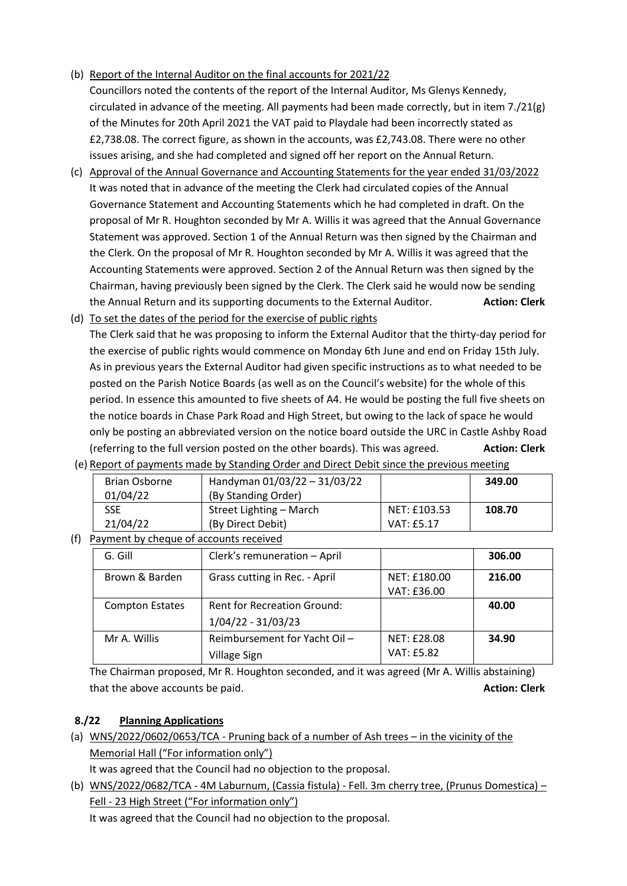(b) Report of the Internal Auditor on the final accounts for 2021/22

Councillors noted the contents of the report of the Internal Auditor, Ms Glenys Kennedy, circulated in advance of the meeting. All payments had been made correctly, but in item 7./21(g) of the Minutes for 20th April 2021 the VAT paid to Playdale had been incorrectly stated as £2,738.08. The correct figure, as shown in the accounts, was £2,743.08. There were no other issues arising, and she had completed and signed off her report on the Annual Return.

- (c) Approval of the Annual Governance and Accounting Statements for the year ended 31/03/2022 It was noted that in advance of the meeting the Clerk had circulated copies of the Annual Governance Statement and Accounting Statements which he had completed in draft. On the proposal of Mr R. Houghton seconded by Mr A. Willis it was agreed that the Annual Governance Statement was approved. Section 1 of the Annual Return was then signed by the Chairman and the Clerk. On the proposal of Mr R. Houghton seconded by Mr A. Willis it was agreed that the Accounting Statements were approved. Section 2 of the Annual Return was then signed by the Chairman, having previously been signed by the Clerk. The Clerk said he would now be sending the Annual Return and its supporting documents to the External Auditor. **Action: Clerk**
- (d) To set the dates of the period for the exercise of public rights The Clerk said that he was proposing to inform the External Auditor that the thirty-day period for the exercise of public rights would commence on Monday 6th June and end on Friday 15th July. As in previous years the External Auditor had given specific instructions as to what needed to be posted on the Parish Notice Boards (as well as on the Council's website) for the whole of this period. In essence this amounted to five sheets of A4. He would be posting the full five sheets on the notice boards in Chase Park Road and High Street, but owing to the lack of space he would only be posting an abbreviated version on the notice board outside the URC in Castle Ashby Road (referring to the full version posted on the other boards). This was agreed. **Action: Clerk**

| Brian Osborne | Handyman 01/03/22 - 31/03/22 |              | 349.00 |
|---------------|------------------------------|--------------|--------|
| 01/04/22      | (By Standing Order)          |              |        |
| <b>SSE</b>    | Street Lighting - March      | NET: £103.53 | 108.70 |
| 21/04/22      | (By Direct Debit)            | VAT: £5.17   |        |
|               |                              |              |        |

(f) Payment by cheque of accounts received

| G. Gill                | Clerk's remuneration - April                             |                             | 306.00 |
|------------------------|----------------------------------------------------------|-----------------------------|--------|
| Brown & Barden         | Grass cutting in Rec. - April                            | NET: £180.00<br>VAT: £36.00 | 216.00 |
| <b>Compton Estates</b> | <b>Rent for Recreation Ground:</b><br>1/04/22 - 31/03/23 |                             | 40.00  |
| Mr A. Willis           | Reimbursement for Yacht Oil-<br>Village Sign             | NET: £28.08<br>VAT: £5.82   | 34.90  |

The Chairman proposed, Mr R. Houghton seconded, and it was agreed (Mr A. Willis abstaining) that the above accounts be paid. **Action: Clerk** and the above accounts be paid.

# **8./22 Planning Applications**

(a) WNS/2022/0602/0653/TCA - Pruning back of a number of Ash trees – in the vicinity of the Memorial Hall ("For information only")

It was agreed that the Council had no objection to the proposal.

(b) WNS/2022/0682/TCA - 4M Laburnum, (Cassia fistula) - Fell. 3m cherry tree, (Prunus Domestica) – Fell - 23 High Street ("For information only")

It was agreed that the Council had no objection to the proposal.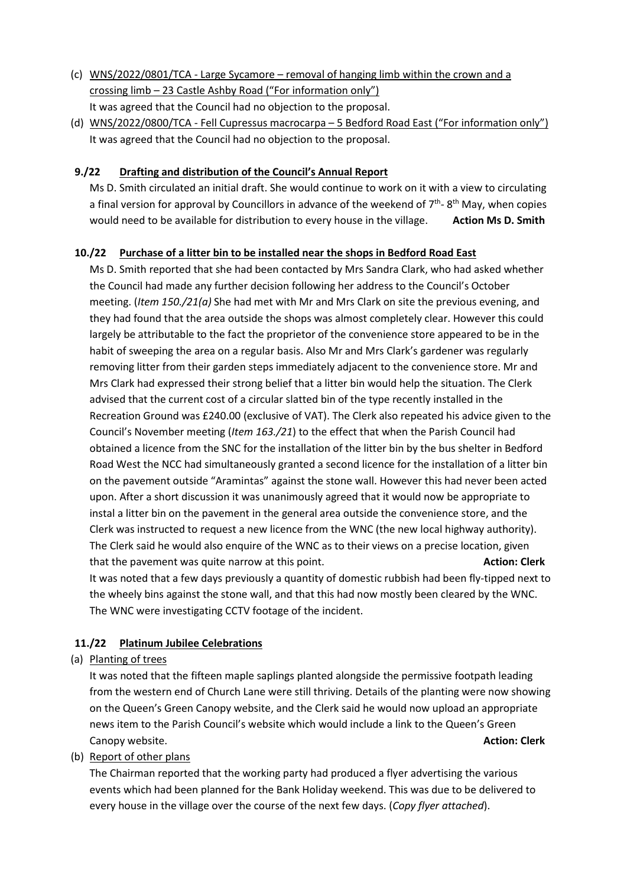- (c) WNS/2022/0801/TCA Large Sycamore removal of hanging limb within the crown and a crossing limb – 23 Castle Ashby Road ("For information only") It was agreed that the Council had no objection to the proposal.
- (d) WNS/2022/0800/TCA Fell Cupressus macrocarpa 5 Bedford Road East ("For information only") It was agreed that the Council had no objection to the proposal.

# **9./22 Drafting and distribution of the Council's Annual Report**

Ms D. Smith circulated an initial draft. She would continue to work on it with a view to circulating a final version for approval by Councillors in advance of the weekend of  $7<sup>th</sup>$ - 8<sup>th</sup> May, when copies would need to be available for distribution to every house in the village. Action Ms D. Smith

# **10./22 Purchase of a litter bin to be installed near the shops in Bedford Road East**

Ms D. Smith reported that she had been contacted by Mrs Sandra Clark, who had asked whether the Council had made any further decision following her address to the Council's October meeting. (*Item 150./21(a)* She had met with Mr and Mrs Clark on site the previous evening, and they had found that the area outside the shops was almost completely clear. However this could largely be attributable to the fact the proprietor of the convenience store appeared to be in the habit of sweeping the area on a regular basis. Also Mr and Mrs Clark's gardener was regularly removing litter from their garden steps immediately adjacent to the convenience store. Mr and Mrs Clark had expressed their strong belief that a litter bin would help the situation. The Clerk advised that the current cost of a circular slatted bin of the type recently installed in the Recreation Ground was £240.00 (exclusive of VAT). The Clerk also repeated his advice given to the Council's November meeting (*Item 163./21*) to the effect that when the Parish Council had obtained a licence from the SNC for the installation of the litter bin by the bus shelter in Bedford Road West the NCC had simultaneously granted a second licence for the installation of a litter bin on the pavement outside "Aramintas" against the stone wall. However this had never been acted upon. After a short discussion it was unanimously agreed that it would now be appropriate to instal a litter bin on the pavement in the general area outside the convenience store, and the Clerk was instructed to request a new licence from the WNC (the new local highway authority). The Clerk said he would also enquire of the WNC as to their views on a precise location, given that the pavement was quite narrow at this point. **Action: Clerk Action: Clerk** It was noted that a few days previously a quantity of domestic rubbish had been fly-tipped next to the wheely bins against the stone wall, and that this had now mostly been cleared by the WNC.

The WNC were investigating CCTV footage of the incident.

# **11./22 Platinum Jubilee Celebrations**

(a) Planting of trees

It was noted that the fifteen maple saplings planted alongside the permissive footpath leading from the western end of Church Lane were still thriving. Details of the planting were now showing on the Queen's Green Canopy website, and the Clerk said he would now upload an appropriate news item to the Parish Council's website which would include a link to the Queen's Green Canopy website. **Action: Clerk**

(b) Report of other plans

The Chairman reported that the working party had produced a flyer advertising the various events which had been planned for the Bank Holiday weekend. This was due to be delivered to every house in the village over the course of the next few days. (*Copy flyer attached*).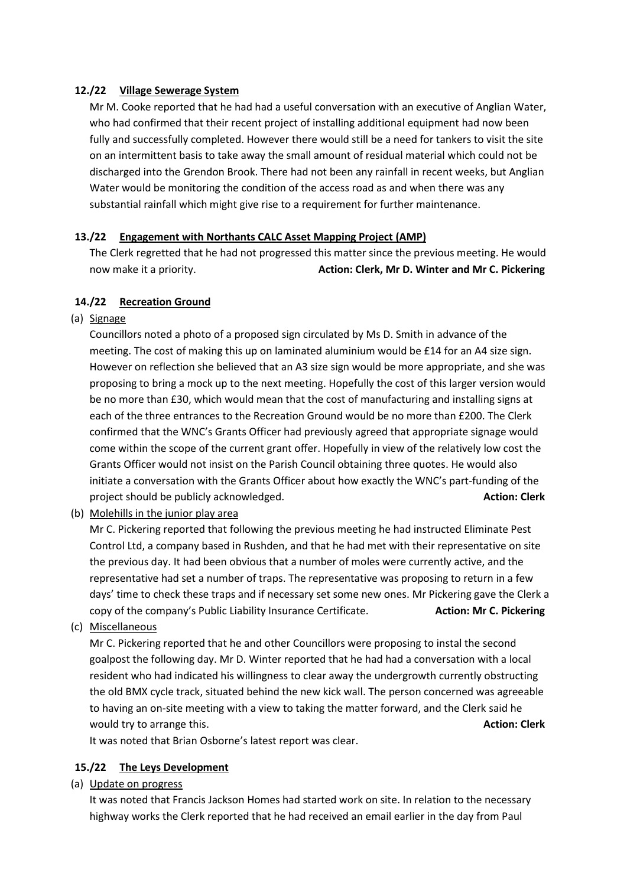# **12./22 Village Sewerage System**

Mr M. Cooke reported that he had had a useful conversation with an executive of Anglian Water, who had confirmed that their recent project of installing additional equipment had now been fully and successfully completed. However there would still be a need for tankers to visit the site on an intermittent basis to take away the small amount of residual material which could not be discharged into the Grendon Brook. There had not been any rainfall in recent weeks, but Anglian Water would be monitoring the condition of the access road as and when there was any substantial rainfall which might give rise to a requirement for further maintenance.

# **13./22 Engagement with Northants CALC Asset Mapping Project (AMP)**

The Clerk regretted that he had not progressed this matter since the previous meeting. He would now make it a priority. **Action: Clerk, Mr D. Winter and Mr C. Pickering**

# **14./22 Recreation Ground**

(a) Signage

Councillors noted a photo of a proposed sign circulated by Ms D. Smith in advance of the meeting. The cost of making this up on laminated aluminium would be £14 for an A4 size sign. However on reflection she believed that an A3 size sign would be more appropriate, and she was proposing to bring a mock up to the next meeting. Hopefully the cost of this larger version would be no more than £30, which would mean that the cost of manufacturing and installing signs at each of the three entrances to the Recreation Ground would be no more than £200. The Clerk confirmed that the WNC's Grants Officer had previously agreed that appropriate signage would come within the scope of the current grant offer. Hopefully in view of the relatively low cost the Grants Officer would not insist on the Parish Council obtaining three quotes. He would also initiate a conversation with the Grants Officer about how exactly the WNC's part-funding of the project should be publicly acknowledged. **Action: Clerk**

(b) Molehills in the junior play area

Mr C. Pickering reported that following the previous meeting he had instructed Eliminate Pest Control Ltd, a company based in Rushden, and that he had met with their representative on site the previous day. It had been obvious that a number of moles were currently active, and the representative had set a number of traps. The representative was proposing to return in a few days' time to check these traps and if necessary set some new ones. Mr Pickering gave the Clerk a copy of the company's Public Liability Insurance Certificate. **Action: Mr C. Pickering**

(c) Miscellaneous

Mr C. Pickering reported that he and other Councillors were proposing to instal the second goalpost the following day. Mr D. Winter reported that he had had a conversation with a local resident who had indicated his willingness to clear away the undergrowth currently obstructing the old BMX cycle track, situated behind the new kick wall. The person concerned was agreeable to having an on-site meeting with a view to taking the matter forward, and the Clerk said he would try to arrange this. **Action: Clerk Action: Clerk Action: Clerk Action: Clerk** 

It was noted that Brian Osborne's latest report was clear.

# **15./22 The Leys Development**

(a) Update on progress

It was noted that Francis Jackson Homes had started work on site. In relation to the necessary highway works the Clerk reported that he had received an email earlier in the day from Paul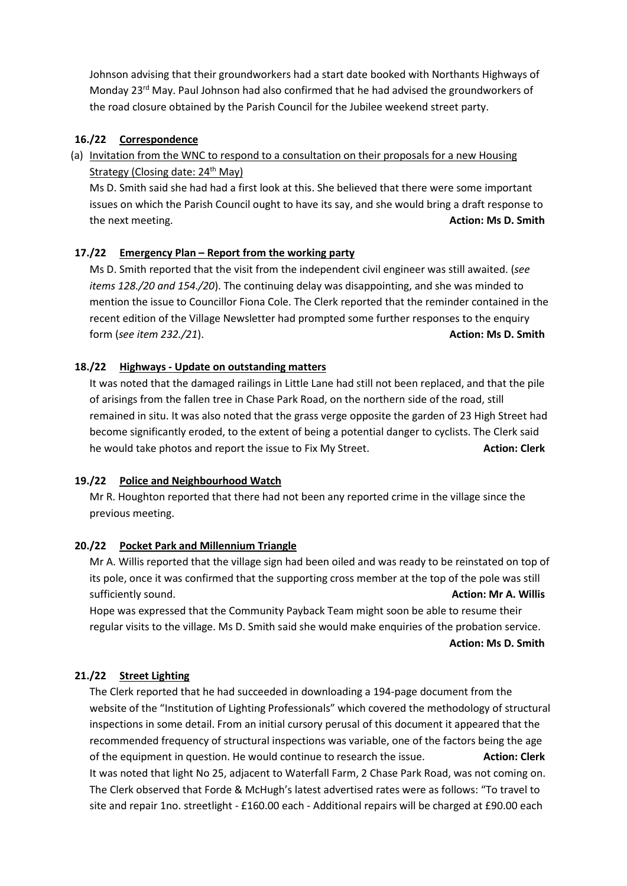Johnson advising that their groundworkers had a start date booked with Northants Highways of Monday 23<sup>rd</sup> May. Paul Johnson had also confirmed that he had advised the groundworkers of the road closure obtained by the Parish Council for the Jubilee weekend street party.

# **16./22 Correspondence**

(a) Invitation from the WNC to respond to a consultation on their proposals for a new Housing Strategy (Closing date: 24<sup>th</sup> May)

Ms D. Smith said she had had a first look at this. She believed that there were some important issues on which the Parish Council ought to have its say, and she would bring a draft response to the next meeting. **Action: Ms D. Smith**

## **17./22 Emergency Plan – Report from the working party**

Ms D. Smith reported that the visit from the independent civil engineer was still awaited. (*see items 128./20 and 154./20*). The continuing delay was disappointing, and she was minded to mention the issue to Councillor Fiona Cole. The Clerk reported that the reminder contained in the recent edition of the Village Newsletter had prompted some further responses to the enquiry form (*see item 232./21*). **Action: Ms D. Smith**

## **18./22 Highways - Update on outstanding matters**

It was noted that the damaged railings in Little Lane had still not been replaced, and that the pile of arisings from the fallen tree in Chase Park Road, on the northern side of the road, still remained in situ. It was also noted that the grass verge opposite the garden of 23 High Street had become significantly eroded, to the extent of being a potential danger to cyclists. The Clerk said he would take photos and report the issue to Fix My Street. **Action: Clerk** and the would take photos and report the issue to Fix My Street.

#### **19./22 Police and Neighbourhood Watch**

Mr R. Houghton reported that there had not been any reported crime in the village since the previous meeting.

#### **20./22 Pocket Park and Millennium Triangle**

Mr A. Willis reported that the village sign had been oiled and was ready to be reinstated on top of its pole, once it was confirmed that the supporting cross member at the top of the pole was still sufficiently sound. **Action: Mr A. Willis**

Hope was expressed that the Community Payback Team might soon be able to resume their regular visits to the village. Ms D. Smith said she would make enquiries of the probation service.

**Action: Ms D. Smith**

#### **21./22 Street Lighting**

The Clerk reported that he had succeeded in downloading a 194-page document from the website of the "Institution of Lighting Professionals" which covered the methodology of structural inspections in some detail. From an initial cursory perusal of this document it appeared that the recommended frequency of structural inspections was variable, one of the factors being the age of the equipment in question. He would continue to research the issue. **Action: Clerk** It was noted that light No 25, adjacent to Waterfall Farm, 2 Chase Park Road, was not coming on. The Clerk observed that Forde & McHugh's latest advertised rates were as follows: "To travel to site and repair 1no. streetlight - £160.00 each - Additional repairs will be charged at £90.00 each